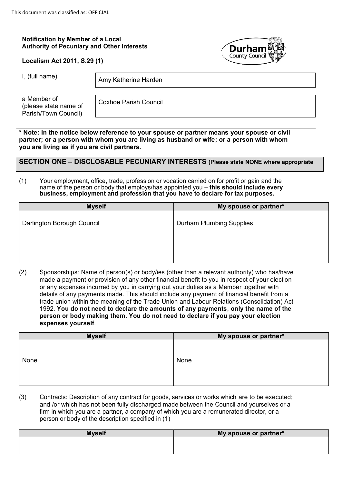## **Notification by Member of a Local Authority of Pecuniary and Other Interests**

|  | Localism Act 2011, S.29 (1) |  |
|--|-----------------------------|--|
|--|-----------------------------|--|



I, (full name)  $\vert$  Amy Katherine Harden

a Member of (please state name of Parish/Town Council)

Coxhoe Parish Council

**\* Note: In the notice below reference to your spouse or partner means your spouse or civil partner; or a person with whom you are living as husband or wife; or a person with whom you are living as if you are civil partners.**

**SECTION ONE – DISCLOSABLE PECUNIARY INTERESTS (Please state NONE where appropriate**

#### (1) Your employment, office, trade, profession or vocation carried on for profit or gain and the name of the person or body that employs/has appointed you – **this should include every business, employment and profession that you have to declare for tax purposes.**

| <b>Myself</b>              | My spouse or partner*           |
|----------------------------|---------------------------------|
| Darlington Borough Council | <b>Durham Plumbing Supplies</b> |
|                            |                                 |

(2) Sponsorships: Name of person(s) or body/ies (other than a relevant authority) who has/have made a payment or provision of any other financial benefit to you in respect of your election or any expenses incurred by you in carrying out your duties as a Member together with details of any payments made. This should include any payment of financial benefit from a trade union within the meaning of the Trade Union and Labour Relations (Consolidation) Act 1992. **You do not need to declare the amounts of any payments**, **only the name of the person or body making them**. **You do not need to declare if you pay your election expenses yourself**.

| <b>Myself</b> | My spouse or partner* |
|---------------|-----------------------|
| None          | None                  |
|               |                       |

(3) Contracts: Description of any contract for goods, services or works which are to be executed; and /or which has not been fully discharged made between the Council and yourselves or a firm in which you are a partner, a company of which you are a remunerated director, or a person or body of the description specified in (1)

| <b>Myself</b> | My spouse or partner* |
|---------------|-----------------------|
|               |                       |
|               |                       |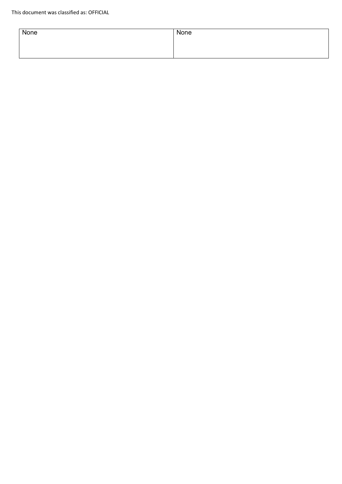| None | None |
|------|------|
|      |      |
|      |      |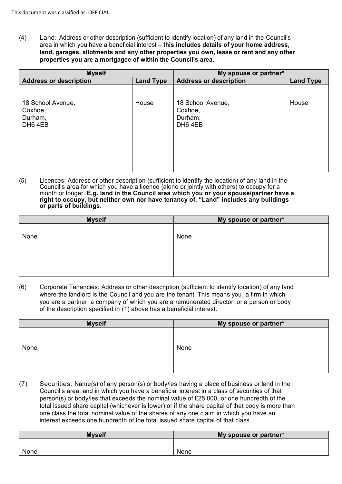(4) Land: Address or other description (sufficient to identify location) of any land in the Council's area in which you have a beneficial interest – **this includes details of your home address, land, garages, allotments and any other properties you own, lease or rent and any other properties you are a mortgagee of within the Council's area.**

| <b>Myself</b>                                      |                  | My spouse or partner*                              |                  |
|----------------------------------------------------|------------------|----------------------------------------------------|------------------|
| <b>Address or description</b>                      | <b>Land Type</b> | <b>Address or description</b>                      | <b>Land Type</b> |
| 18 School Avenue,<br>Coxhoe,<br>Durham,<br>DH6 4EB | House            | 18 School Avenue,<br>Coxhoe,<br>Durham,<br>DH6 4EB | House            |

(5) Licences: Address or other description (sufficient to identify the location) of any land in the Council's area for which you have a licence (alone or jointly with others) to occupy for a month or longer. **E.g. land in the Council area which you or your spouse/partner have a right to occupy, but neither own nor have tenancy of. "Land" includes any buildings or parts of buildings.**

| <b>Myself</b> | My spouse or partner* |
|---------------|-----------------------|
|               |                       |
| None          | None                  |
|               |                       |
|               |                       |
|               |                       |
|               |                       |
|               |                       |

(6) Corporate Tenancies: Address or other description (sufficient to identify location) of any land where the landlord is the Council and you are the tenant. This means you, a firm in which you are a partner, a company of which you are a remunerated director, or a person or body of the description specified in (1) above has a beneficial interest.

| <b>Myself</b> | My spouse or partner* |
|---------------|-----------------------|
| None          | None                  |
|               |                       |

(7) Securities: Name(s) of any person(s) or body/ies having a place of business or land in the Council's area, and in which you have a beneficial interest in a class of securities of that person(s) or body/ies that exceeds the nominal value of £25,000, or one hundredth of the total issued share capital (whichever is lower) or if the share capital of that body is more than one class the total nominal value of the shares of any one claim in which you have an interest exceeds one hundredth of the total issued share capital of that class

| <b>Myself</b> | My spouse or partner* |
|---------------|-----------------------|
|               |                       |
| None          | None                  |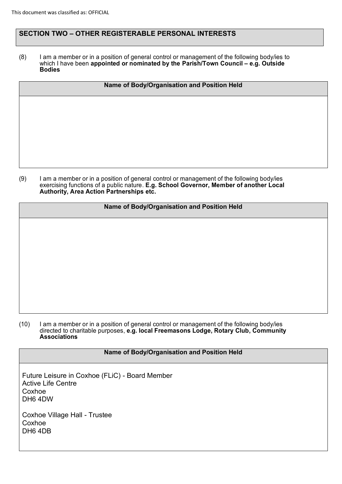## **SECTION TWO – OTHER REGISTERABLE PERSONAL INTERESTS**

(8) I am a member or in a position of general control or management of the following body/ies to which I have been **appointed or nominated by the Parish/Town Council – e.g. Outside Bodies**

| Name of Body/Organisation and Position Held |  |  |
|---------------------------------------------|--|--|
|                                             |  |  |
|                                             |  |  |
|                                             |  |  |
|                                             |  |  |
|                                             |  |  |

(9) I am a member or in a position of general control or management of the following body/ies exercising functions of a public nature. **E.g. School Governor, Member of another Local Authority, Area Action Partnerships etc.**

## **Name of Body/Organisation and Position Held**

#### (10) I am a member or in a position of general control or management of the following body/ies directed to charitable purposes, **e.g. local Freemasons Lodge, Rotary Club, Community Associations**

## **Name of Body/Organisation and Position Held**

Future Leisure in Coxhoe (FLiC) - Board Member Active Life Centre Coxhoe DH6 4DW

Coxhoe Village Hall - Trustee Coxhoe DH6 4DB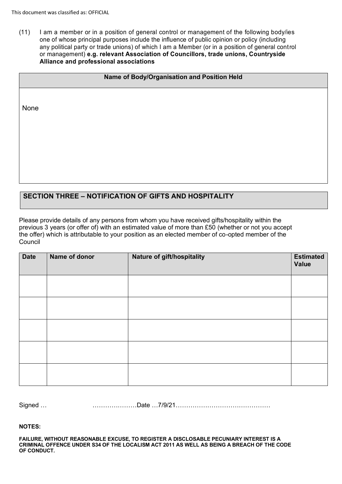(11) I am a member or in a position of general control or management of the following body/ies one of whose principal purposes include the influence of public opinion or policy (including any political party or trade unions) of which I am a Member (or in a position of general control or management) **e.g. relevant Association of Councillors, trade unions, Countryside Alliance and professional associations**

| Name of Body/Organisation and Position Held |  |  |  |
|---------------------------------------------|--|--|--|
|                                             |  |  |  |
| None                                        |  |  |  |
|                                             |  |  |  |
|                                             |  |  |  |
|                                             |  |  |  |
|                                             |  |  |  |

# **SECTION THREE – NOTIFICATION OF GIFTS AND HOSPITALITY**

Please provide details of any persons from whom you have received gifts/hospitality within the previous 3 years (or offer of) with an estimated value of more than £50 (whether or not you accept the offer) which is attributable to your position as an elected member of co-opted member of the Council

| <b>Date</b> | Name of donor | Nature of gift/hospitality | <b>Estimated</b><br>Value |
|-------------|---------------|----------------------------|---------------------------|
|             |               |                            |                           |
|             |               |                            |                           |
|             |               |                            |                           |
|             |               |                            |                           |
|             |               |                            |                           |

Signed … …………………Date …7/9/21………………………………………

**NOTES:**

**FAILURE, WITHOUT REASONABLE EXCUSE, TO REGISTER A DISCLOSABLE PECUNIARY INTEREST IS A CRIMINAL OFFENCE UNDER S34 OF THE LOCALISM ACT 2011 AS WELL AS BEING A BREACH OF THE CODE OF CONDUCT.**